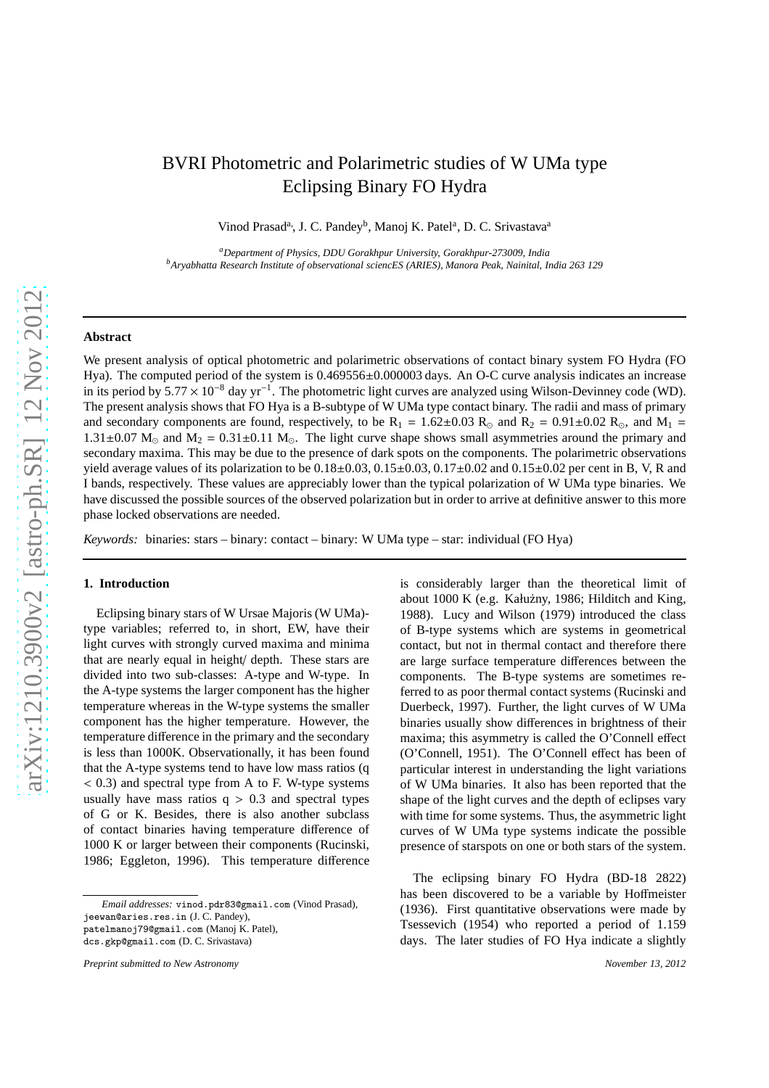# BVRI Photometric and Polarimetric studies of W UMa type Eclipsing Binary FO Hydra

Vinod Prasad<sup>a</sup>, J. C. Pandey<sup>b</sup>, Manoj K. Patel<sup>a</sup>, D. C. Srivastava<sup>a</sup>

*<sup>a</sup>Department of Physics, DDU Gorakhpur University, Gorakhpur-273009, India <sup>b</sup>Aryabhatta Research Institute of observational sciencES (ARIES), Manora Peak, Nainital, India 263 129*

# **Abstract**

We present analysis of optical photometric and polarimetric observations of contact binary system FO Hydra (FO Hya). The computed period of the system is  $0.469556\pm0.000003$  days. An O-C curve analysis indicates an increase in its period by  $5.77 \times 10^{-8}$  day yr<sup>-1</sup>. The photometric light curves are analyzed using Wilson-Devinney code (WD). The present analysis shows that FO Hya is a B-subtype of W UMa type contact binary. The radii and mass of primary and secondary components are found, respectively, to be  $R_1 = 1.62 \pm 0.03$   $R_{\odot}$  and  $R_2 = 0.91 \pm 0.02$   $R_{\odot}$ , and  $M_1 =$  $1.31\pm0.07$  M<sub>o</sub> and M<sub>2</sub> = 0.31 $\pm$ 0.11 M<sub>o</sub>. The light curve shape shows small asymmetries around the primary and secondary maxima. This may be due to the presence of dark spots on the components. The polarimetric observations yield average values of its polarization to be  $0.18\pm0.03$ ,  $0.15\pm0.03$ ,  $0.17\pm0.02$  and  $0.15\pm0.02$  per cent in B, V, R and I bands, respectively. These values are appreciably lower than the typical polarization of W UMa type binaries. We have discussed the possible sources of the observed polarization but in order to arrive at definitive answer to this more phase locked observations are needed.

*Keywords:* binaries: stars – binary: contact – binary: W UMa type – star: individual (FO Hya)

## **1. Introduction**

Eclipsing binary stars of W Ursae Majoris (W UMa) type variables; referred to, in short, EW, have their light curves with strongly curved maxima and minima that are nearly equal in height/ depth. These stars are divided into two sub-classes: A-type and W-type. In the A-type systems the larger component has the higher temperature whereas in the W-type systems the smaller component has the higher temperature. However, the temperature difference in the primary and the secondary is less than 1000K. Observationally, it has been found that the A-type systems tend to have low mass ratios (q < 0.3) and spectral type from A to F. W-type systems usually have mass ratios  $q > 0.3$  and spectral types of G or K. Besides, there is also another subclass of contact binaries having temperature difference of 1000 K or larger between their components (Rucinski, 1986; Eggleton, 1996). This temperature difference is considerably larger than the theoretical limit of about 1000 K (e.g. Kałużny, 1986; Hilditch and King, 1988). Lucy and Wilson (1979) introduced the class of B-type systems which are systems in geometrical contact, but not in thermal contact and therefore there are large surface temperature differences between the components. The B-type systems are sometimes referred to as poor thermal contact systems (Rucinski and Duerbeck, 1997). Further, the light curves of W UMa binaries usually show differences in brightness of their maxima; this asymmetry is called the O'Connell effect (O'Connell, 1951). The O'Connell effect has been of particular interest in understanding the light variations of W UMa binaries. It also has been reported that the shape of the light curves and the depth of eclipses vary with time for some systems. Thus, the asymmetric light curves of W UMa type systems indicate the possible presence of starspots on one or both stars of the system.

The eclipsing binary FO Hydra (BD-18 2822) has been discovered to be a variable by Hoffmeister (1936). First quantitative observations were made by Tsessevich (1954) who reported a period of 1.159 days. The later studies of FO Hya indicate a slightly

*Email addresses:* vinod.pdr83@gmail.com (Vinod Prasad), jeewan@aries.res.in (J. C. Pandey), patelmanoj79@gmail.com (Manoj K. Patel), dcs.gkp@gmail.com (D. C. Srivastava)

*Preprint submitted to New Astronomy November 13, 2012*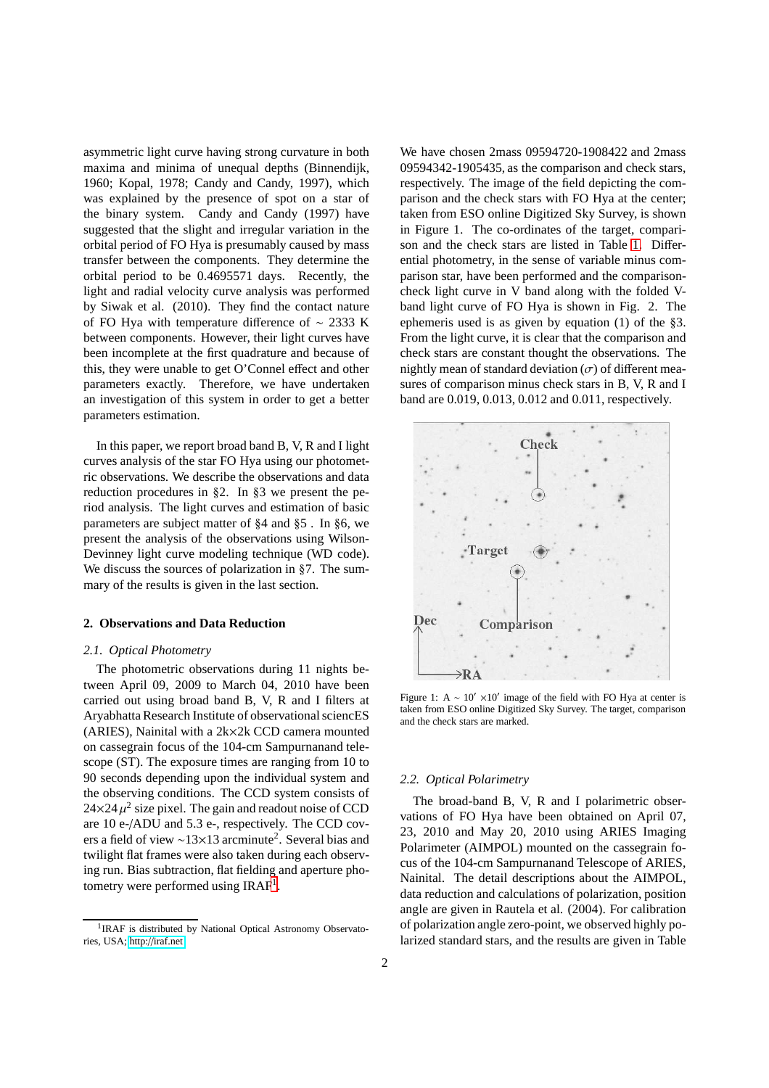asymmetric light curve having strong curvature in both maxima and minima of unequal depths (Binnendijk, 1960; Kopal, 1978; Candy and Candy, 1997), which was explained by the presence of spot on a star of the binary system. Candy and Candy (1997) have suggested that the slight and irregular variation in the orbital period of FO Hya is presumably caused by mass transfer between the components. They determine the orbital period to be 0.4695571 days. Recently, the light and radial velocity curve analysis was performed by Siwak et al. (2010). They find the contact nature of FO Hya with temperature difference of ∼ 2333 K between components. However, their light curves have been incomplete at the first quadrature and because of this, they were unable to get O'Connel effect and other parameters exactly. Therefore, we have undertaken an investigation of this system in order to get a better parameters estimation.

In this paper, we report broad band B, V, R and I light curves analysis of the star FO Hya using our photometric observations. We describe the observations and data reduction procedures in §2. In §3 we present the period analysis. The light curves and estimation of basic parameters are subject matter of §4 and §5 . In §6, we present the analysis of the observations using Wilson-Devinney light curve modeling technique (WD code). We discuss the sources of polarization in §7. The summary of the results is given in the last section.

## **2. Observations and Data Reduction**

# *2.1. Optical Photometry*

The photometric observations during 11 nights between April 09, 2009 to March 04, 2010 have been carried out using broad band B, V, R and I filters at Aryabhatta Research Institute of observational sciencES (ARIES), Nainital with a 2k×2k CCD camera mounted on cassegrain focus of the 104-cm Sampurnanand telescope (ST). The exposure times are ranging from 10 to 90 seconds depending upon the individual system and the observing conditions. The CCD system consists of  $24 \times 24 \mu^2$  size pixel. The gain and readout noise of CCD are 10 e-/ADU and 5.3 e-, respectively. The CCD covers a field of view ~13×13 arcminute<sup>2</sup>. Several bias and twilight flat frames were also taken during each observing run. Bias subtraction, flat fielding and aperture pho-tometry were performed using IRAF<sup>[1](#page-1-0)</sup>.

We have chosen 2mass 09594720-1908422 and 2mass 09594342-1905435, as the comparison and check stars, respectively. The image of the field depicting the comparison and the check stars with FO Hya at the center; taken from ESO online Digitized Sky Survey, is shown in Figure 1. The co-ordinates of the target, comparison and the check stars are listed in Table [1.](#page-2-0) Differential photometry, in the sense of variable minus comparison star, have been performed and the comparisoncheck light curve in V band along with the folded Vband light curve of FO Hya is shown in Fig. 2. The ephemeris used is as given by equation (1) of the §3. From the light curve, it is clear that the comparison and check stars are constant thought the observations. The nightly mean of standard deviation  $(\sigma)$  of different measures of comparison minus check stars in B, V, R and I band are 0.019, 0.013, 0.012 and 0.011, respectively.



Figure 1: A ~  $10' \times 10'$  image of the field with FO Hya at center is taken from ESO online Digitized Sky Survey. The target, comparison and the check stars are marked.

#### *2.2. Optical Polarimetry*

The broad-band B, V, R and I polarimetric observations of FO Hya have been obtained on April 07, 23, 2010 and May 20, 2010 using ARIES Imaging Polarimeter (AIMPOL) mounted on the cassegrain focus of the 104-cm Sampurnanand Telescope of ARIES, Nainital. The detail descriptions about the AIMPOL, data reduction and calculations of polarization, position angle are given in Rautela et al. (2004). For calibration of polarization angle zero-point, we observed highly polarized standard stars, and the results are given in Table

<span id="page-1-0"></span><sup>&</sup>lt;sup>1</sup>IRAF is distributed by National Optical Astronomy Observatories, USA; http://[iraf.net](http://iraf.net)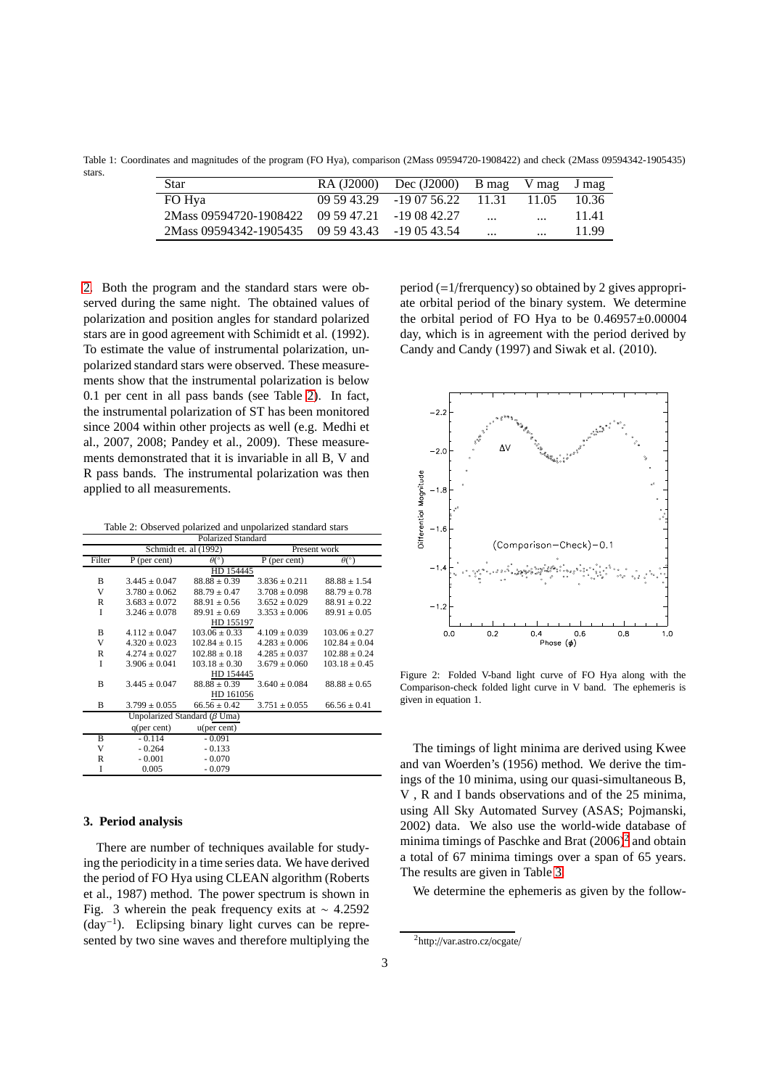Table 1: Coordinates and magnitudes of the program (FO Hya), comparison (2Mass 09594720-1908422) and check (2Mass 09594342-1905435) stars.

<span id="page-2-0"></span>

| <b>Star</b>                                     | RA (J2000) | Dec $(J2000)$ B mag      |          | V mag     | J mag |
|-------------------------------------------------|------------|--------------------------|----------|-----------|-------|
| FO Hya                                          |            | $095943.29$ -19 07 56.22 | - 11.31  | 11.05     | 10.36 |
| 2Mass 09594720-1908422 09 59 47.21 -19 08 42.27 |            |                          | $\cdots$ | $\cdots$  | 11.41 |
| 2Mass 09594342-1905435 09 59 43.43 -19 05 43.54 |            |                          | $\cdots$ | $\ddotsc$ | 11.99 |

[2.](#page-2-1) Both the program and the standard stars were observed during the same night. The obtained values of polarization and position angles for standard polarized stars are in good agreement with Schimidt et al. (1992). To estimate the value of instrumental polarization, unpolarized standard stars were observed. These measurements show that the instrumental polarization is below 0.1 per cent in all pass bands (see Table [2\)](#page-2-1). In fact, the instrumental polarization of ST has been monitored since 2004 within other projects as well (e.g. Medhi et al., 2007, 2008; Pandey et al., 2009). These measurements demonstrated that it is invariable in all B, V and R pass bands. The instrumental polarization was then applied to all measurements.

<span id="page-2-1"></span>Table 2: Observed polarized and unpolarized standard stars

| Polarized Standard |                       |                                     |                   |                         |  |  |  |  |
|--------------------|-----------------------|-------------------------------------|-------------------|-------------------------|--|--|--|--|
|                    | Schmidt et. al (1992) |                                     | Present work      |                         |  |  |  |  |
| Filter             | $P$ (per cent)        | $\theta$ <sup>o</sup> )             | $P$ (per cent)    | $\theta$ <sup>o</sup> ) |  |  |  |  |
|                    | HD 154445             |                                     |                   |                         |  |  |  |  |
| B                  | $3.445 \pm 0.047$     | $88.88 \pm 0.39$                    | $3.836 + 0.211$   | $88.88 \pm 1.54$        |  |  |  |  |
| V                  | $3.780 \pm 0.062$     | $88.79 \pm 0.47$                    | $3.708 \pm 0.098$ | $88.79 \pm 0.78$        |  |  |  |  |
| $\mathbb{R}$       | $3.683 \pm 0.072$     | $88.91 \pm 0.56$                    | $3.652 \pm 0.029$ | $88.91 \pm 0.22$        |  |  |  |  |
| I                  | $3.246 \pm 0.078$     | $89.91 \pm 0.69$                    | $3.353 \pm 0.006$ | $89.91 \pm 0.05$        |  |  |  |  |
|                    |                       | HD 155197                           |                   |                         |  |  |  |  |
| B                  | $4.112 + 0.047$       | $103.06 + 0.33$                     | $4.109 \pm 0.039$ | $103.06 \pm 0.27$       |  |  |  |  |
| V                  | $4.320 \pm 0.023$     | $102.84 + 0.15$                     | $4.283 \pm 0.006$ | $102.84 \pm 0.04$       |  |  |  |  |
| R                  | $4.274 \pm 0.027$     | $102.88 \pm 0.18$                   | $4.285 \pm 0.037$ | $102.88 \pm 0.24$       |  |  |  |  |
| I                  | $3.906 \pm 0.041$     | $103.18 \pm 0.30$                   | $3.679 \pm 0.060$ | $103.18 \pm 0.45$       |  |  |  |  |
|                    | HD 154445             |                                     |                   |                         |  |  |  |  |
| B                  | $3.445 + 0.047$       | $88.88 + 0.39$                      | $3.640 + 0.084$   | $88.88 + 0.65$          |  |  |  |  |
|                    | HD 161056             |                                     |                   |                         |  |  |  |  |
| B                  | $3.799 \pm 0.055$     | $66.56 \pm 0.42$                    | $3.751 \pm 0.055$ | $66.56 \pm 0.41$        |  |  |  |  |
|                    |                       | Unpolarized Standard ( $\beta$ Uma) |                   |                         |  |  |  |  |
|                    | q(per cent)           | u(per cent)                         |                   |                         |  |  |  |  |
| B                  | $-0.114$              | $-0.091$                            |                   |                         |  |  |  |  |
| V                  | $-0.264$              | $-0.133$                            |                   |                         |  |  |  |  |
| R                  | $-0.001$              | $-0.070$                            |                   |                         |  |  |  |  |
| I                  | 0.005                 | $-0.079$                            |                   |                         |  |  |  |  |

## <span id="page-2-3"></span>**3. Period analysis**

There are number of techniques available for studying the periodicity in a time series data. We have derived the period of FO Hya using CLEAN algorithm (Roberts et al., 1987) method. The power spectrum is shown in Fig. 3 wherein the peak frequency exits at ∼ 4.2592 (day−<sup>1</sup> ). Eclipsing binary light curves can be represented by two sine waves and therefore multiplying the

period (=1/frerquency) so obtained by 2 gives appropriate orbital period of the binary system. We determine the orbital period of FO Hya to be  $0.46957\pm0.00004$ day, which is in agreement with the period derived by Candy and Candy (1997) and Siwak et al. (2010).



Figure 2: Folded V-band light curve of FO Hya along with the Comparison-check folded light curve in V band. The ephemeris is given in equation 1.

The timings of light minima are derived using Kwee and van Woerden's (1956) method. We derive the timings of the 10 minima, using our quasi-simultaneous B, V , R and I bands observations and of the 25 minima, using All Sky Automated Survey (ASAS; Pojmanski, 2002) data. We also use the world-wide database of minima timings of Paschke and Brat  $(2006)^2$  $(2006)^2$  $(2006)^2$  and obtain a total of 67 minima timings over a span of 65 years. The results are given in Table [3.](#page-4-0)

We determine the ephemeris as given by the follow-

<span id="page-2-2"></span><sup>&</sup>lt;sup>2</sup>http://var.astro.cz/ocgate/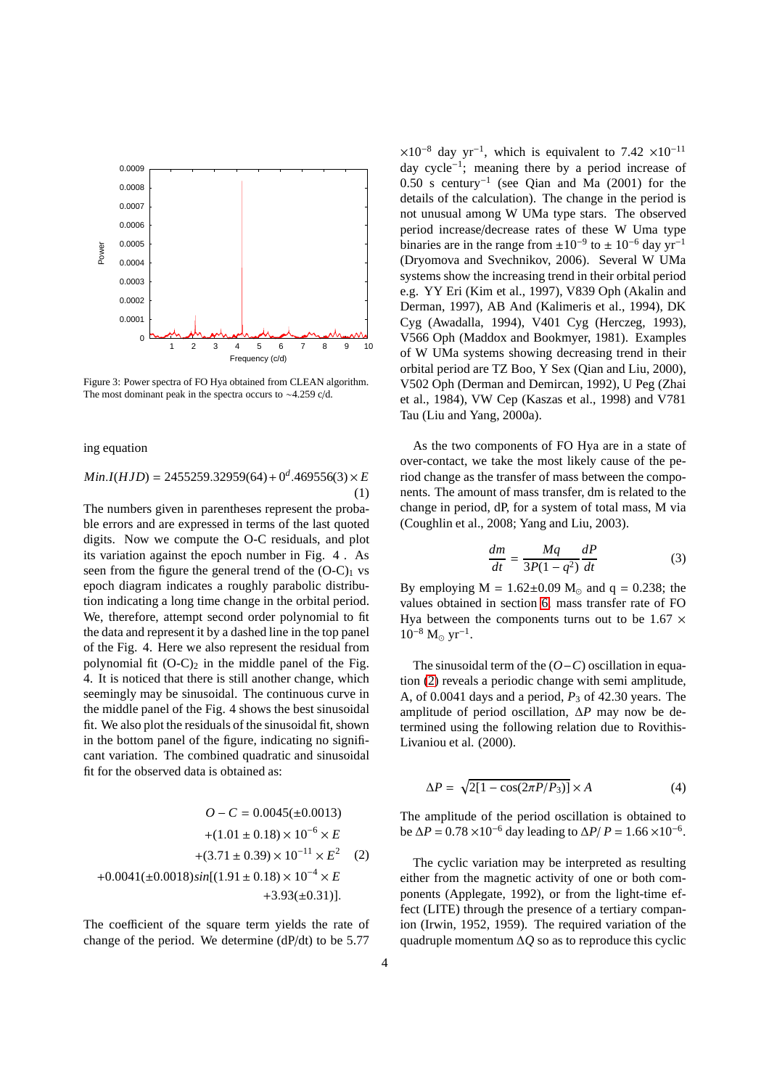

Figure 3: Power spectra of FO Hya obtained from CLEAN algorithm. The most dominant peak in the spectra occurs to ∼4.259 c/d.

ing equation

 $Min.I(HJD) = 2455259.32959(64) + 0^d.469556(3) \times E$ (1)

The numbers given in parentheses represent the probable errors and are expressed in terms of the last quoted digits. Now we compute the O-C residuals, and plot its variation against the epoch number in Fig. 4 . As seen from the figure the general trend of the  $(O-C)_1$  vs epoch diagram indicates a roughly parabolic distribution indicating a long time change in the orbital period. We, therefore, attempt second order polynomial to fit the data and represent it by a dashed line in the top panel of the Fig. 4. Here we also represent the residual from polynomial fit  $(O-C)_2$  in the middle panel of the Fig. 4. It is noticed that there is still another change, which seemingly may be sinusoidal. The continuous curve in the middle panel of the Fig. 4 shows the best sinusoidal fit. We also plot the residuals of the sinusoidal fit, shown in the bottom panel of the figure, indicating no significant variation. The combined quadratic and sinusoidal fit for the observed data is obtained as:

<span id="page-3-0"></span>
$$
O - C = 0.0045(\pm 0.0013)
$$
  
+ $(1.01 \pm 0.18) \times 10^{-6} \times E$   
+ $(3.71 \pm 0.39) \times 10^{-11} \times E^2$  (2)  
+ $0.0041(\pm 0.0018)sin[(1.91 \pm 0.18) \times 10^{-4} \times E$   
+ $3.93(\pm 0.31)$ ].

The coefficient of the square term yields the rate of change of the period. We determine (dP/dt) to be 5.77

 $\times 10^{-8}$  day yr<sup>-1</sup>, which is equivalent to 7.42 ×10<sup>-11</sup> day cycle−<sup>1</sup> ; meaning there by a period increase of 0.50 s century−<sup>1</sup> (see Qian and Ma (2001) for the details of the calculation). The change in the period is not unusual among W UMa type stars. The observed period increase/decrease rates of these W Uma type binaries are in the range from  $\pm 10^{-9}$  to  $\pm 10^{-6}$  day yr<sup>-1</sup> (Dryomova and Svechnikov, 2006). Several W UMa systems show the increasing trend in their orbital period e.g. YY Eri (Kim et al., 1997), V839 Oph (Akalin and Derman, 1997), AB And (Kalimeris et al., 1994), DK Cyg (Awadalla, 1994), V401 Cyg (Herczeg, 1993), V566 Oph (Maddox and Bookmyer, 1981). Examples of W UMa systems showing decreasing trend in their orbital period are TZ Boo, Y Sex (Qian and Liu, 2000), V502 Oph (Derman and Demircan, 1992), U Peg (Zhai et al., 1984), VW Cep (Kaszas et al., 1998) and V781 Tau (Liu and Yang, 2000a).

As the two components of FO Hya are in a state of over-contact, we take the most likely cause of the period change as the transfer of mass between the components. The amount of mass transfer, dm is related to the change in period, dP, for a system of total mass, M via (Coughlin et al., 2008; Yang and Liu, 2003).

$$
\frac{dm}{dt} = \frac{Mq}{3P(1-q^2)}\frac{dP}{dt} \tag{3}
$$

By employing  $M = 1.62 \pm 0.09$   $M_{\odot}$  and  $q = 0.238$ ; the values obtained in section [6,](#page-6-0) mass transfer rate of FO Hya between the components turns out to be  $1.67 \times$  $10^{-8}$  M<sub>☉</sub> yr<sup>-1</sup>.

The sinusoidal term of the (*O*−*C*) oscillation in equation [\(2\)](#page-3-0) reveals a periodic change with semi amplitude, A, of  $0.0041$  days and a period,  $P_3$  of  $42.30$  years. The amplitude of period oscillation, ∆*P* may now be determined using the following relation due to Rovithis-Livaniou et al. (2000).

$$
\Delta P = \sqrt{2[1 - \cos(2\pi P/P_3)]} \times A \tag{4}
$$

The amplitude of the period oscillation is obtained to be Δ*P* = 0.78 × 10<sup>-6</sup> day leading to Δ*P*/ *P* = 1.66 × 10<sup>-6</sup>.

The cyclic variation may be interpreted as resulting either from the magnetic activity of one or both components (Applegate, 1992), or from the light-time effect (LITE) through the presence of a tertiary companion (Irwin, 1952, 1959). The required variation of the quadruple momentum ∆*Q* so as to reproduce this cyclic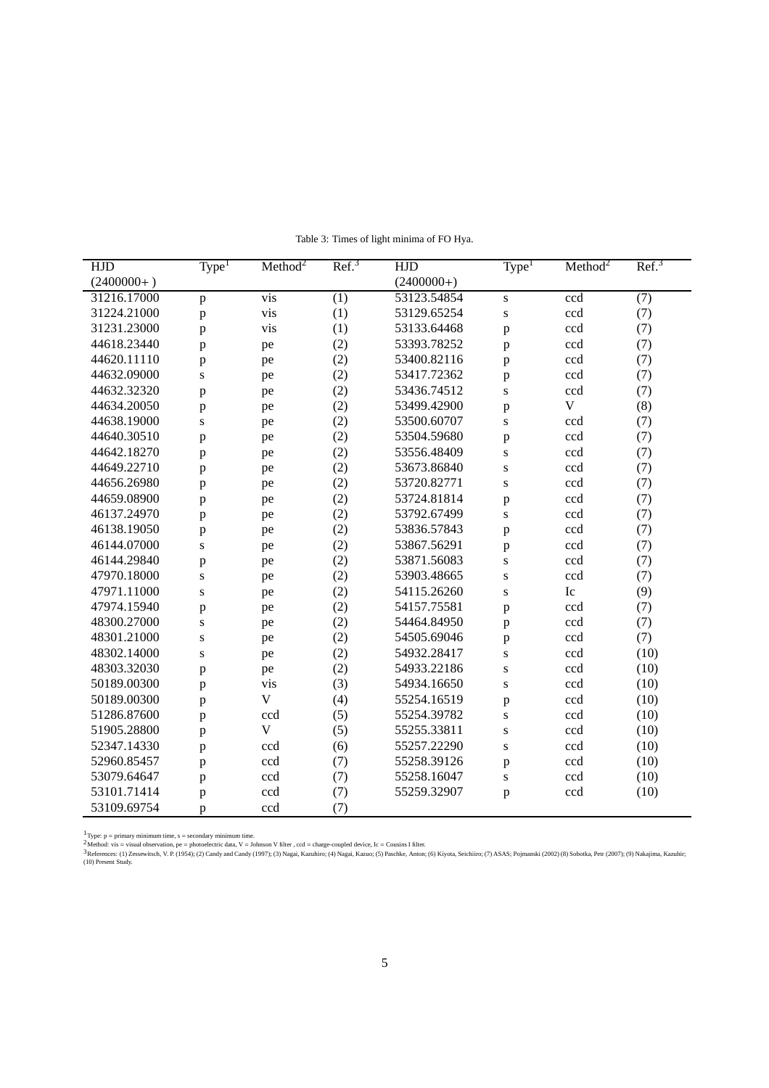| <b>HJD</b>   | Type <sup>1</sup> | Method <sup>2</sup> | Ref. <sup>3</sup> | <b>HJD</b>   | Type <sup>1</sup> | Method <sup>2</sup>  | Ref. <sup>3</sup> |
|--------------|-------------------|---------------------|-------------------|--------------|-------------------|----------------------|-------------------|
| $(2400000+)$ |                   |                     |                   | $(2400000+)$ |                   |                      |                   |
| 31216.17000  | $\mathbf{p}$      | vis                 | (1)               | 53123.54854  | S                 | ccd                  | (7)               |
| 31224.21000  | $\, {\bf p}$      | vis                 | (1)               | 53129.65254  | S                 | ccd                  | (7)               |
| 31231.23000  | $\mathbf{p}$      | vis                 | (1)               | 53133.64468  | $\mathbf{p}$      | $\operatorname{ccd}$ | (7)               |
| 44618.23440  | p                 | pe                  | (2)               | 53393.78252  | $\mathbf{p}$      | ccd                  | (7)               |
| 44620.11110  | p                 | pe                  | (2)               | 53400.82116  | $\mathbf{p}$      | ccd                  | (7)               |
| 44632.09000  | ${\bf S}$         | pe                  | (2)               | 53417.72362  | $\mathbf{p}$      | ccd                  | (7)               |
| 44632.32320  | p                 | pe                  | (2)               | 53436.74512  | ${\bf S}$         | $\operatorname{ccd}$ | (7)               |
| 44634.20050  | p                 | pe                  | (2)               | 53499.42900  | $\mathbf{p}$      | $\mathbf V$          | (8)               |
| 44638.19000  | ${\bf S}$         | pe                  | (2)               | 53500.60707  | S                 | ccd                  | (7)               |
| 44640.30510  | p                 | pe                  | (2)               | 53504.59680  | $\mathbf{p}$      | ccd                  | (7)               |
| 44642.18270  | p                 | pe                  | (2)               | 53556.48409  | S                 | ccd                  | (7)               |
| 44649.22710  | p                 | pe                  | (2)               | 53673.86840  | ${\bf S}$         | ccd                  | (7)               |
| 44656.26980  | p                 | pe                  | (2)               | 53720.82771  | S                 | ccd                  | (7)               |
| 44659.08900  | p                 | pe                  | (2)               | 53724.81814  | $\, {\bf p}$      | ccd                  | (7)               |
| 46137.24970  | p                 | pe                  | (2)               | 53792.67499  | S                 | ccd                  | (7)               |
| 46138.19050  | p                 | pe                  | (2)               | 53836.57843  | $\mathbf{p}$      | ccd                  | (7)               |
| 46144.07000  | $\mathbf S$       | pe                  | (2)               | 53867.56291  | $\mathbf{p}$      | ccd                  | (7)               |
| 46144.29840  | p                 | pe                  | (2)               | 53871.56083  | S                 | ccd                  | (7)               |
| 47970.18000  | $\mathbf S$       | pe                  | (2)               | 53903.48665  | S                 | $\operatorname{ccd}$ | (7)               |
| 47971.11000  | ${\bf S}$         | pe                  | (2)               | 54115.26260  | S                 | Ic                   | (9)               |
| 47974.15940  | $\mathbf{p}$      | pe                  | (2)               | 54157.75581  | $\mathbf{p}$      | ccd                  | (7)               |
| 48300.27000  | $\mathbf S$       | pe                  | (2)               | 54464.84950  | $\mathbf{p}$      | $\operatorname{ccd}$ | (7)               |
| 48301.21000  | ${\bf S}$         | pe                  | (2)               | 54505.69046  | $\mathbf{p}$      | ccd                  | (7)               |
| 48302.14000  | ${\bf S}$         | pe                  | (2)               | 54932.28417  | S                 | ccd                  | (10)              |
| 48303.32030  | p                 | pe                  | (2)               | 54933.22186  | S                 | ccd                  | (10)              |
| 50189.00300  | $\mathbf p$       | vis                 | (3)               | 54934.16650  | S                 | ccd                  | (10)              |
| 50189.00300  | p                 | $\mathbf V$         | (4)               | 55254.16519  | $\mathbf{p}$      | ccd                  | (10)              |
| 51286.87600  | $\mathbf p$       | ccd                 | (5)               | 55254.39782  | ${\bf S}$         | $\operatorname{ccd}$ | (10)              |
| 51905.28800  | p                 | $\mathbf V$         | (5)               | 55255.33811  | ${\bf S}$         | ccd                  | (10)              |
| 52347.14330  | $\mathbf p$       | ccd                 | (6)               | 55257.22290  | S                 | ccd                  | (10)              |
| 52960.85457  | $\mathbf p$       | ccd                 | (7)               | 55258.39126  | $\mathbf{p}$      | ccd                  | (10)              |
| 53079.64647  | $\mathbf p$       | ccd                 | (7)               | 55258.16047  | ${\bf S}$         | ccd                  | (10)              |
| 53101.71414  | p                 | ccd                 | (7)               | 55259.32907  | $\mathbf{p}$      | ccd                  | (10)              |
| 53109.69754  | p                 | ccd                 | (7)               |              |                   |                      |                   |

<span id="page-4-0"></span>Table 3: Times of light minima of FO Hya.

<sup>1</sup>Type: p = primary minimum time, s = secondary minimum time.<br><sup>2</sup>Method: vis = visual observation, pe = photoelectric data, V = Johnson V filter , ccd = charge-coupled device, Ic = Cousins I filter.<br><sup>3</sup> References: (1) Ze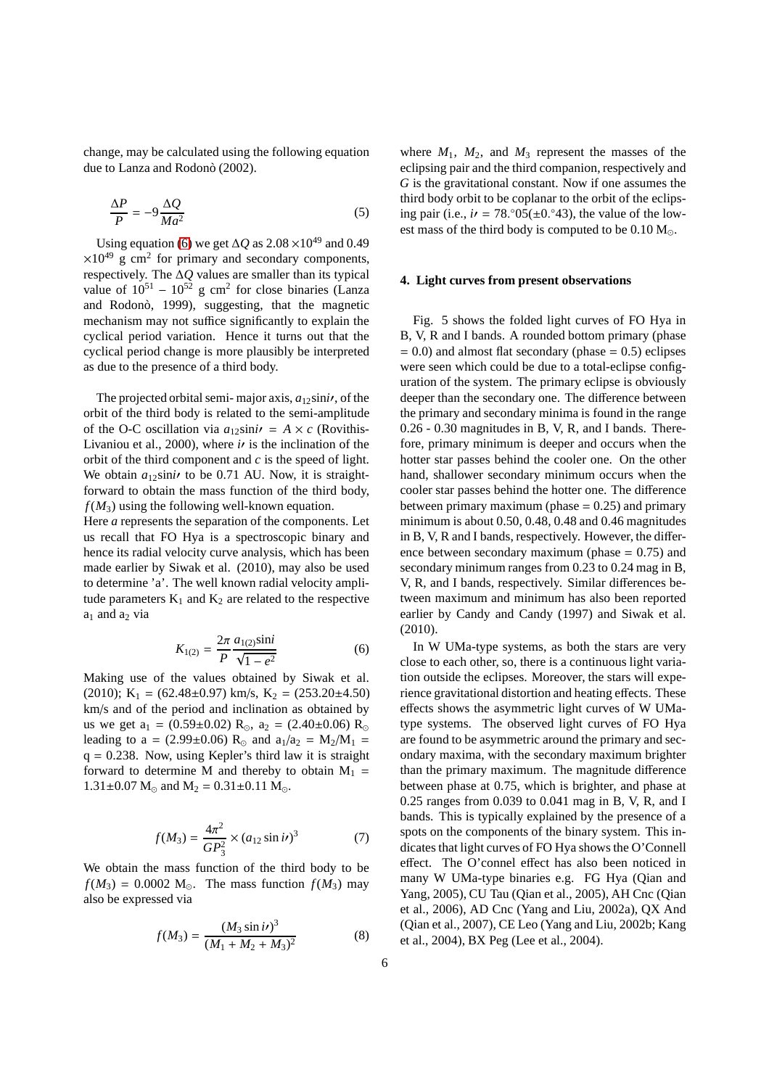change, may be calculated using the following equation due to Lanza and Rodonò (2002).

$$
\frac{\Delta P}{P} = -9 \frac{\Delta Q}{Ma^2} \tag{5}
$$

Using equation [\(6\)](#page-5-0) we get  $\Delta Q$  as 2.08 ×10<sup>49</sup> and 0.49  $\times 10^{49}$  g cm<sup>2</sup> for primary and secondary components, respectively. The ∆*Q* values are smaller than its typical value of  $10^{51} - 10^{52}$  g cm<sup>2</sup> for close binaries (Lanza and Rodonò, 1999), suggesting, that the magnetic mechanism may not suffice significantly to explain the cyclical period variation. Hence it turns out that the cyclical period change is more plausibly be interpreted as due to the presence of a third body.

The projected orbital semi- major axis,  $a_{12}$ sini*i*, of the orbit of the third body is related to the semi-amplitude of the O-C oscillation via  $a_{12}$ sini $\prime$  =  $A \times c$  (Rovithis-Livaniou et al., 2000), where  $i\prime$  is the inclination of the orbit of the third component and *c* is the speed of light. We obtain  $a_{12}$ sini<sup> $\prime$ </sup> to be 0.71 AU. Now, it is straightforward to obtain the mass function of the third body,  $f(M_3)$  using the following well-known equation.

Here *a* represents the separation of the components. Let us recall that FO Hya is a spectroscopic binary and hence its radial velocity curve analysis, which has been made earlier by Siwak et al. (2010), may also be used to determine 'a'. The well known radial velocity amplitude parameters  $K_1$  and  $K_2$  are related to the respective  $a_1$  and  $a_2$  via

<span id="page-5-0"></span>
$$
K_{1(2)} = \frac{2\pi}{P} \frac{a_{1(2)}\sin i}{\sqrt{1 - e^2}}\tag{6}
$$

Making use of the values obtained by Siwak et al. (2010);  $K_1 = (62.48 \pm 0.97)$  km/s,  $K_2 = (253.20 \pm 4.50)$ km/s and of the period and inclination as obtained by us we get  $a_1 = (0.59 \pm 0.02)$   $R_{\odot}$ ,  $a_2 = (2.40 \pm 0.06)$   $R_{\odot}$ leading to a = (2.99±0.06) R<sub>☉</sub> and  $a_1/a_2 = M_2/M_1$  =  $q = 0.238$ . Now, using Kepler's third law it is straight forward to determine M and thereby to obtain  $M_1$  =  $1.31\pm0.07$  M<sub> $\odot$ </sub> and M<sub>2</sub> =  $0.31\pm0.11$  M<sub> $\odot$ </sub>.

$$
f(M_3) = \frac{4\pi^2}{GP_3^2} \times (a_{12} \sin i\prime)^3
$$
 (7)

We obtain the mass function of the third body to be  $f(M_3) = 0.0002$  M<sub>☉</sub>. The mass function  $f(M_3)$  may also be expressed via

$$
f(M_3) = \frac{(M_3 \sin i\prime)^3}{(M_1 + M_2 + M_3)^2}
$$
 (8)

where  $M_1$ ,  $M_2$ , and  $M_3$  represent the masses of the eclipsing pair and the third companion, respectively and *G* is the gravitational constant. Now if one assumes the third body orbit to be coplanar to the orbit of the eclipsing pair (i.e.,  $i\prime = 78.^\circ 05(\pm 0.^\circ 43)$ , the value of the lowest mass of the third body is computed to be  $0.10 M_{\odot}$ .

#### **4. Light curves from present observations**

Fig. 5 shows the folded light curves of FO Hya in B, V, R and I bands. A rounded bottom primary (phase  $= 0.0$ ) and almost flat secondary (phase  $= 0.5$ ) eclipses were seen which could be due to a total-eclipse configuration of the system. The primary eclipse is obviously deeper than the secondary one. The difference between the primary and secondary minima is found in the range 0.26 - 0.30 magnitudes in B, V, R, and I bands. Therefore, primary minimum is deeper and occurs when the hotter star passes behind the cooler one. On the other hand, shallower secondary minimum occurs when the cooler star passes behind the hotter one. The difference between primary maximum (phase  $= 0.25$ ) and primary minimum is about 0.50, 0.48, 0.48 and 0.46 magnitudes in B, V, R and I bands, respectively. However, the difference between secondary maximum (phase  $= 0.75$ ) and secondary minimum ranges from 0.23 to 0.24 mag in B, V, R, and I bands, respectively. Similar differences between maximum and minimum has also been reported earlier by Candy and Candy (1997) and Siwak et al. (2010).

In W UMa-type systems, as both the stars are very close to each other, so, there is a continuous light variation outside the eclipses. Moreover, the stars will experience gravitational distortion and heating effects. These effects shows the asymmetric light curves of W UMatype systems. The observed light curves of FO Hya are found to be asymmetric around the primary and secondary maxima, with the secondary maximum brighter than the primary maximum. The magnitude difference between phase at 0.75, which is brighter, and phase at 0.25 ranges from 0.039 to 0.041 mag in B, V, R, and I bands. This is typically explained by the presence of a spots on the components of the binary system. This indicates that light curves of FO Hya shows the O'Connell effect. The O'connel effect has also been noticed in many W UMa-type binaries e.g. FG Hya (Qian and Yang, 2005), CU Tau (Qian et al., 2005), AH Cnc (Qian et al., 2006), AD Cnc (Yang and Liu, 2002a), QX And (Qian et al., 2007), CE Leo (Yang and Liu, 2002b; Kang et al., 2004), BX Peg (Lee et al., 2004).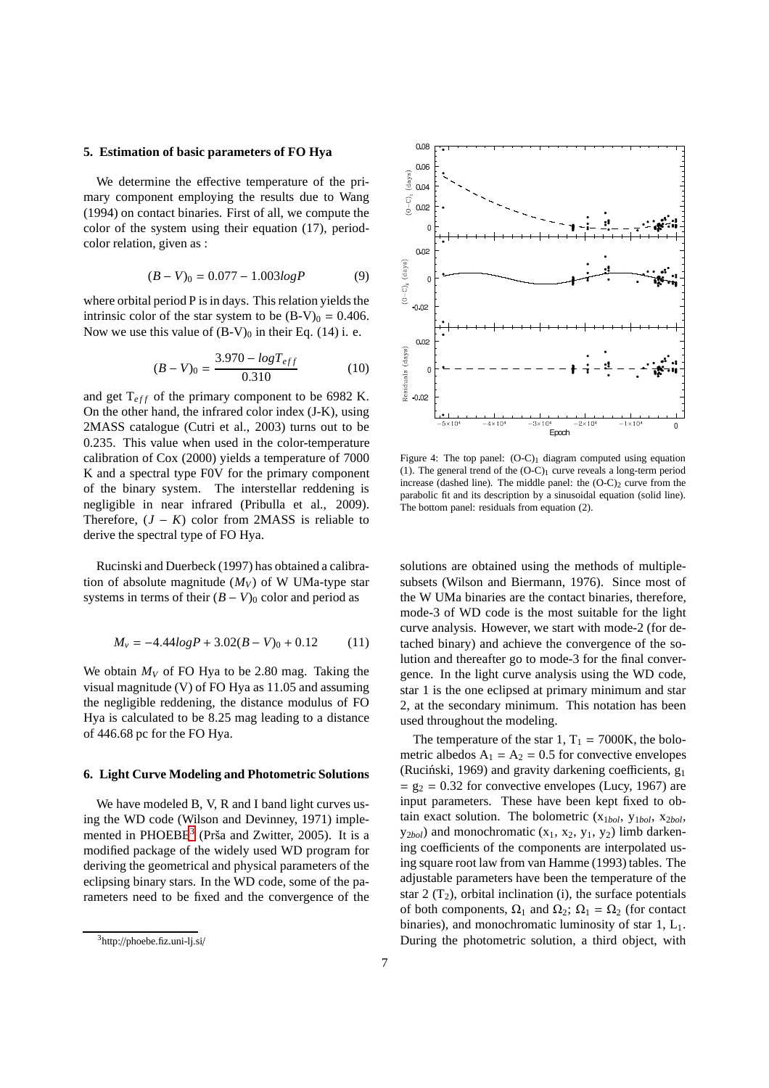# **5. Estimation of basic parameters of FO Hya**

We determine the effective temperature of the primary component employing the results due to Wang (1994) on contact binaries. First of all, we compute the color of the system using their equation (17), periodcolor relation, given as :

$$
(B - V)_0 = 0.077 - 1.003 log P \tag{9}
$$

where orbital period P is in days. This relation yields the intrinsic color of the star system to be  $(B-V)_0 = 0.406$ . Now we use this value of  $(B-V)_0$  in their Eq. (14) i. e.

$$
(B - V)_0 = \frac{3.970 - \log T_{eff}}{0.310} \tag{10}
$$

and get  $T_{eff}$  of the primary component to be 6982 K. On the other hand, the infrared color index (J-K), using 2MASS catalogue (Cutri et al., 2003) turns out to be 0.235. This value when used in the color-temperature calibration of Cox (2000) yields a temperature of 7000 K and a spectral type F0V for the primary component of the binary system. The interstellar reddening is negligible in near infrared (Pribulla et al., 2009). Therefore,  $(J - K)$  color from 2MASS is reliable to derive the spectral type of FO Hya.

Rucinski and Duerbeck (1997) has obtained a calibration of absolute magnitude  $(M_V)$  of W UMa-type star systems in terms of their  $(B - V)_0$  color and period as

$$
M_{\nu} = -4.44logP + 3.02(B - V)_0 + 0.12
$$
 (11)

We obtain  $M_V$  of FO Hya to be 2.80 mag. Taking the visual magnitude (V) of FO Hya as 11.05 and assuming the negligible reddening, the distance modulus of FO Hya is calculated to be 8.25 mag leading to a distance of 446.68 pc for the FO Hya.

## <span id="page-6-0"></span>**6. Light Curve Modeling and Photometric Solutions**

We have modeled B, V, R and I band light curves using the WD code (Wilson and Devinney, 1971) imple-mented in PHOEBE<sup>[3](#page-6-1)</sup> (Prša and Zwitter, 2005). It is a modified package of the widely used WD program for deriving the geometrical and physical parameters of the eclipsing binary stars. In the WD code, some of the parameters need to be fixed and the convergence of the



Figure 4: The top panel:  $(O-C)_1$  diagram computed using equation (1). The general trend of the  $(O-C)_1$  curve reveals a long-term period increase (dashed line). The middle panel: the  $(O-C)$  curve from the parabolic fit and its description by a sinusoidal equation (solid line). The bottom panel: residuals from equation (2).

solutions are obtained using the methods of multiplesubsets (Wilson and Biermann, 1976). Since most of the W UMa binaries are the contact binaries, therefore, mode-3 of WD code is the most suitable for the light curve analysis. However, we start with mode-2 (for detached binary) and achieve the convergence of the solution and thereafter go to mode-3 for the final convergence. In the light curve analysis using the WD code, star 1 is the one eclipsed at primary minimum and star 2, at the secondary minimum. This notation has been used throughout the modeling.

The temperature of the star 1,  $T_1 = 7000K$ , the bolometric albedos  $A_1 = A_2 = 0.5$  for convective envelopes (Ruciński, 1969) and gravity darkening coefficients,  $g_1$  $= g_2 = 0.32$  for convective envelopes (Lucy, 1967) are input parameters. These have been kept fixed to obtain exact solution. The bolometric (x<sup>1</sup>*bol*, y<sup>1</sup>*bol*, x<sup>2</sup>*bol*,  $y_{2bol}$ ) and monochromatic  $(x_1, x_2, y_1, y_2)$  limb darkening coefficients of the components are interpolated using square root law from van Hamme (1993) tables. The adjustable parameters have been the temperature of the star 2  $(T_2)$ , orbital inclination (i), the surface potentials of both components,  $\Omega_1$  and  $\Omega_2$ ;  $\Omega_1 = \Omega_2$  (for contact binaries), and monochromatic luminosity of star 1, L<sub>1</sub>. During the photometric solution, a third object, with

<span id="page-6-1"></span> $3$ http://phoebe.fiz.uni-lj.si/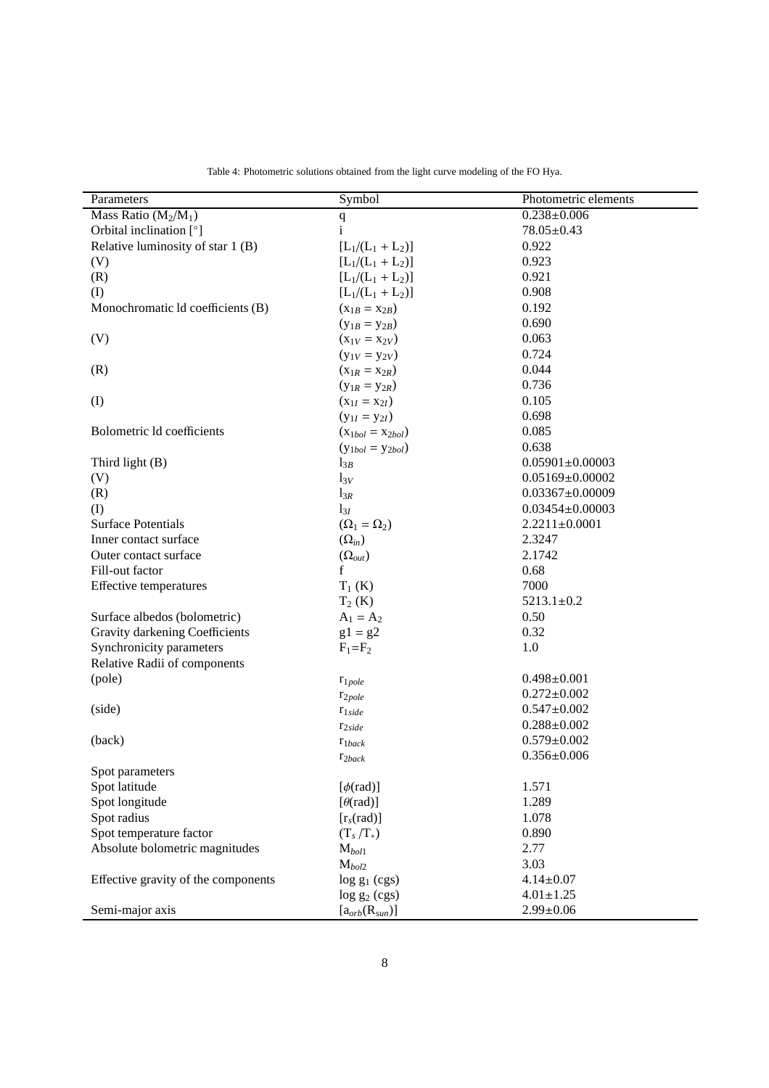| Parameters                          | Symbol                             | Photometric elements  |
|-------------------------------------|------------------------------------|-----------------------|
| Mass Ratio $(M_2/M_1)$              | $\mathbf q$                        | $0.238 \pm 0.006$     |
| Orbital inclination [°]             | $\mathbf{i}$                       | $78.05 \pm 0.43$      |
| Relative luminosity of star 1 (B)   | $[L_1/(L_1 + L_2)]$                | 0.922                 |
| (V)                                 | $[L_1/(L_1 + L_2)]$                | 0.923                 |
| (R)                                 | $[L_1/(L_1 + L_2)]$                | 0.921                 |
| (I)                                 | $[L_1/(L_1 + L_2)]$                | 0.908                 |
| Monochromatic ld coefficients (B)   | $(x_{1B} = x_{2B})$                | 0.192                 |
|                                     | $(y_{1B} = y_{2B})$                | 0.690                 |
| (V)                                 | $(x_{1V} = x_{2V})$                | 0.063                 |
|                                     | $(y_{1V} = y_{2V})$                | 0.724                 |
| (R)                                 | $(X_{1R} = X_{2R})$                | 0.044                 |
|                                     | $(y_{1R} = y_{2R})$                | 0.736                 |
| (I)                                 | $(x_{1I} = x_{2I})$                | 0.105                 |
|                                     | $(y_{1I} = y_{2I})$                | 0.698                 |
| Bolometric Id coefficients          | $(x_{1bol} = x_{2bol})$            | 0.085                 |
|                                     | $(y_{1bol} = y_{2bol})$            | 0.638                 |
| Third light (B)                     | $l_{3B}$                           | $0.05901 \pm 0.00003$ |
| (V)                                 | $l_{3V}$                           | $0.05169 \pm 0.00002$ |
| (R)                                 | $l_{3R}$                           | $0.03367 \pm 0.00009$ |
| (I)                                 | $l_{3I}$                           | $0.03454 \pm 0.00003$ |
| <b>Surface Potentials</b>           | $(\Omega_1=\Omega_2)$              | $2.2211 \pm 0.0001$   |
| Inner contact surface               | $(\Omega_{in})$                    | 2.3247                |
| Outer contact surface               |                                    | 2.1742                |
| Fill-out factor                     | $(\Omega_{out})$<br>$\mathbf f$    | 0.68                  |
|                                     |                                    | 7000                  |
| Effective temperatures              | $T_1$ (K)                          | $5213.1 \pm 0.2$      |
|                                     | $T_2$ (K)                          |                       |
| Surface albedos (bolometric)        | $A_1 = A_2$                        | 0.50                  |
| Gravity darkening Coefficients      | $g1 = g2$                          | 0.32                  |
| Synchronicity parameters            | $F_1 = F_2$                        | 1.0                   |
| Relative Radii of components        |                                    |                       |
| (pole)                              | $r_{1pole}$                        | $0.498 \pm 0.001$     |
|                                     | $r_{2pole}$                        | $0.272 \pm 0.002$     |
| (side)                              | $r_{1side}$                        | $0.547 \pm 0.002$     |
|                                     | $r_{2side}$                        | $0.288 \pm 0.002$     |
| (back)                              | $r_{1back}$                        | $0.579 \pm 0.002$     |
|                                     | $r_{2back}$                        | $0.356 \pm 0.006$     |
| Spot parameters                     |                                    |                       |
| Spot latitude                       | $[\phi(\text{rad})]$               | 1.571                 |
| Spot longitude                      | $\lceil \theta(\text{rad}) \rceil$ | 1.289                 |
| Spot radius                         | $[r_s(\text{rad})]$                | 1.078                 |
| Spot temperature factor             | $(T_s/T_*)$                        | 0.890                 |
| Absolute bolometric magnitudes      | $M_{bol1}$                         | 2.77                  |
|                                     | $M_{bol2}$                         | 3.03                  |
| Effective gravity of the components | $\log g_1$ (cgs)                   | $4.14 \pm 0.07$       |
|                                     | $log g_2 (cgs)$                    | $4.01 \pm 1.25$       |
| Semi-major axis                     | $[a_{orb}(R_{sun})]$               | $2.99 \pm 0.06$       |

<span id="page-7-0"></span>Table 4: Photometric solutions obtained from the light curve modeling of the FO Hya.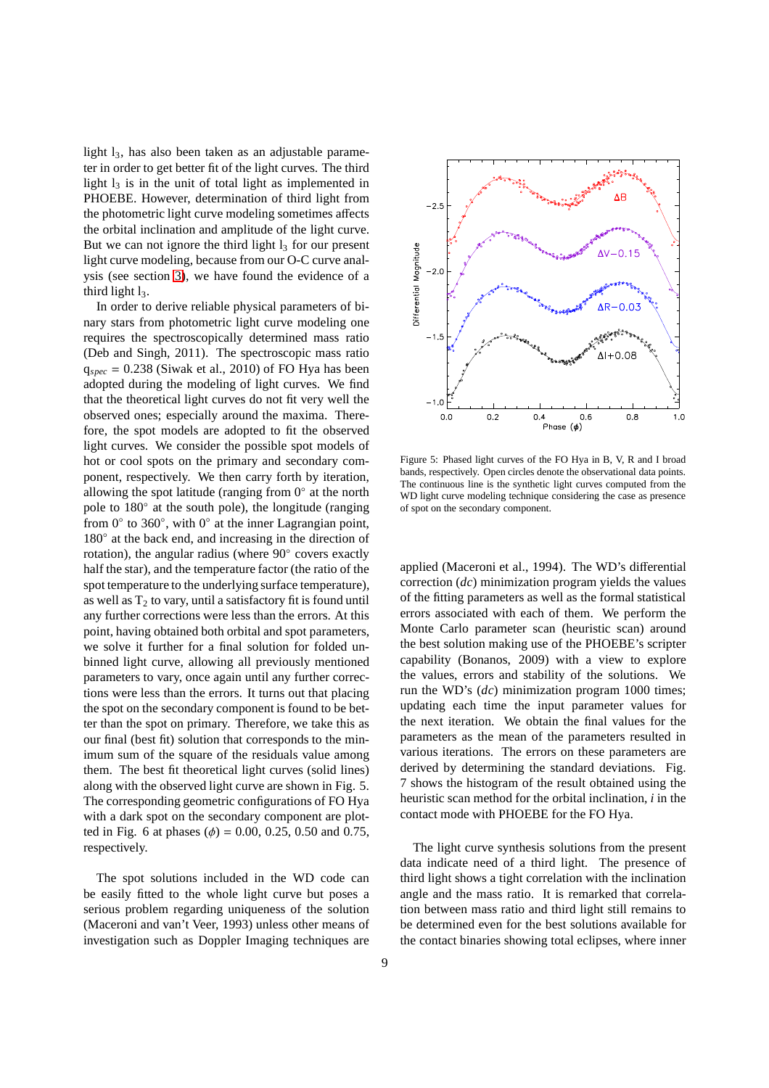light  $l_3$ , has also been taken as an adjustable parameter in order to get better fit of the light curves. The third light  $l_3$  is in the unit of total light as implemented in PHOEBE. However, determination of third light from the photometric light curve modeling sometimes affects the orbital inclination and amplitude of the light curve. But we can not ignore the third light  $l_3$  for our present light curve modeling, because from our O-C curve analysis (see section [3\)](#page-2-3), we have found the evidence of a third light  $l<sub>3</sub>$ .

In order to derive reliable physical parameters of binary stars from photometric light curve modeling one requires the spectroscopically determined mass ratio (Deb and Singh, 2011). The spectroscopic mass ratio  $q_{spec} = 0.238$  (Siwak et al., 2010) of FO Hya has been adopted during the modeling of light curves. We find that the theoretical light curves do not fit very well the observed ones; especially around the maxima. Therefore, the spot models are adopted to fit the observed light curves. We consider the possible spot models of hot or cool spots on the primary and secondary component, respectively. We then carry forth by iteration, allowing the spot latitude (ranging from  $0^\circ$  at the north pole to 180° at the south pole), the longitude (ranging from  $0^\circ$  to 360 $^\circ$ , with  $0^\circ$  at the inner Lagrangian point, 180 $\degree$  at the back end, and increasing in the direction of rotation), the angular radius (where 90◦ covers exactly half the star), and the temperature factor (the ratio of the spot temperature to the underlying surface temperature), as well as  $T_2$  to vary, until a satisfactory fit is found until any further corrections were less than the errors. At this point, having obtained both orbital and spot parameters, we solve it further for a final solution for folded unbinned light curve, allowing all previously mentioned parameters to vary, once again until any further corrections were less than the errors. It turns out that placing the spot on the secondary component is found to be better than the spot on primary. Therefore, we take this as our final (best fit) solution that corresponds to the minimum sum of the square of the residuals value among them. The best fit theoretical light curves (solid lines) along with the observed light curve are shown in Fig. 5. The corresponding geometric configurations of FO Hya with a dark spot on the secondary component are plotted in Fig. 6 at phases ( $\phi$ ) = 0.00, 0.25, 0.50 and 0.75, respectively.

The spot solutions included in the WD code can be easily fitted to the whole light curve but poses a serious problem regarding uniqueness of the solution (Maceroni and van't Veer, 1993) unless other means of investigation such as Doppler Imaging techniques are



Figure 5: Phased light curves of the FO Hya in B, V, R and I broad bands, respectively. Open circles denote the observational data points. The continuous line is the synthetic light curves computed from the WD light curve modeling technique considering the case as presence of spot on the secondary component.

applied (Maceroni et al., 1994). The WD's differential correction (*dc*) minimization program yields the values of the fitting parameters as well as the formal statistical errors associated with each of them. We perform the Monte Carlo parameter scan (heuristic scan) around the best solution making use of the PHOEBE's scripter capability (Bonanos, 2009) with a view to explore the values, errors and stability of the solutions. We run the WD's (*dc*) minimization program 1000 times; updating each time the input parameter values for the next iteration. We obtain the final values for the parameters as the mean of the parameters resulted in various iterations. The errors on these parameters are derived by determining the standard deviations. Fig. 7 shows the histogram of the result obtained using the heuristic scan method for the orbital inclination, *i* in the contact mode with PHOEBE for the FO Hya.

The light curve synthesis solutions from the present data indicate need of a third light. The presence of third light shows a tight correlation with the inclination angle and the mass ratio. It is remarked that correlation between mass ratio and third light still remains to be determined even for the best solutions available for the contact binaries showing total eclipses, where inner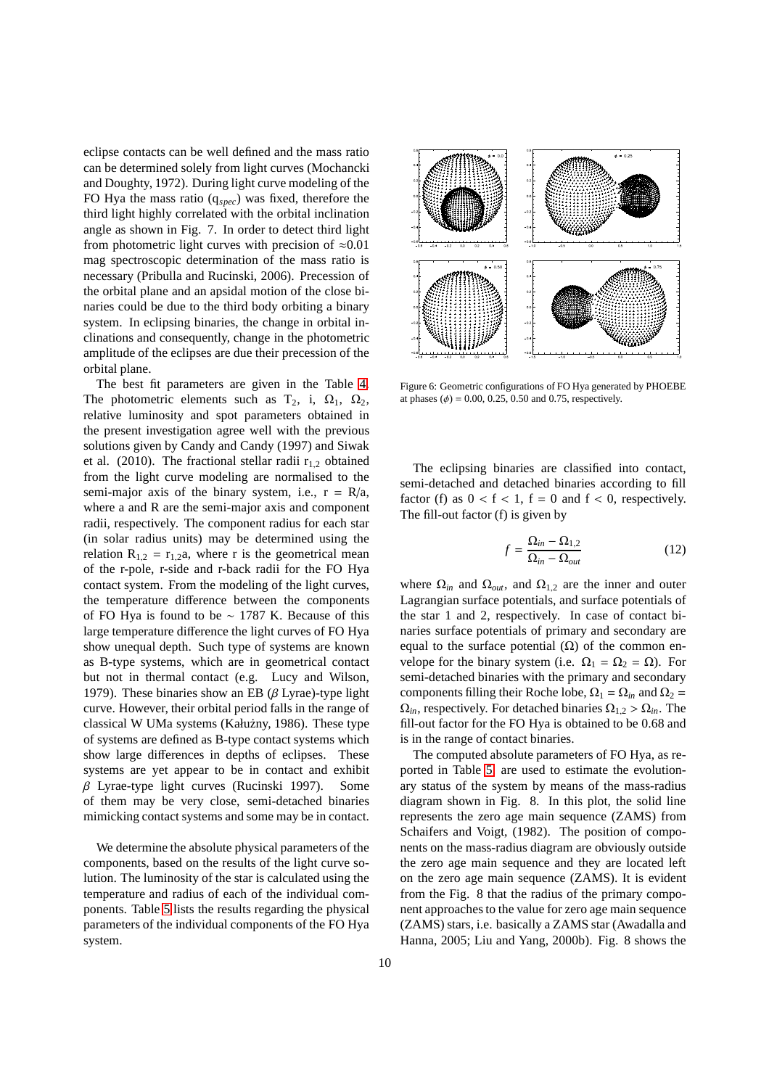eclipse contacts can be well defined and the mass ratio can be determined solely from light curves (Mochancki and Doughty, 1972). During light curve modeling of the FO Hya the mass ratio (q*spec*) was fixed, therefore the third light highly correlated with the orbital inclination angle as shown in Fig. 7. In order to detect third light from photometric light curves with precision of  $\approx 0.01$ mag spectroscopic determination of the mass ratio is necessary (Pribulla and Rucinski, 2006). Precession of the orbital plane and an apsidal motion of the close binaries could be due to the third body orbiting a binary system. In eclipsing binaries, the change in orbital inclinations and consequently, change in the photometric amplitude of the eclipses are due their precession of the orbital plane.

The best fit parameters are given in the Table [4.](#page-7-0) The photometric elements such as  $T_2$ , i,  $\Omega_1$ ,  $\Omega_2$ , relative luminosity and spot parameters obtained in the present investigation agree well with the previous solutions given by Candy and Candy (1997) and Siwak et al. (2010). The fractional stellar radii  $r_{1,2}$  obtained from the light curve modeling are normalised to the semi-major axis of the binary system, i.e.,  $r = R/a$ , where a and R are the semi-major axis and component radii, respectively. The component radius for each star (in solar radius units) may be determined using the relation  $R_{1,2} = r_{1,2}a$ , where r is the geometrical mean of the r-pole, r-side and r-back radii for the FO Hya contact system. From the modeling of the light curves, the temperature difference between the components of FO Hya is found to be ∼ 1787 K. Because of this large temperature difference the light curves of FO Hya show unequal depth. Such type of systems are known as B-type systems, which are in geometrical contact but not in thermal contact (e.g. Lucy and Wilson, 1979). These binaries show an EB ( $\beta$  Lyrae)-type light curve. However, their orbital period falls in the range of classical W UMa systems (Kałużny, 1986). These type of systems are defined as B-type contact systems which show large differences in depths of eclipses. These systems are yet appear to be in contact and exhibit β Lyrae-type light curves (Rucinski 1997). Some of them may be very close, semi-detached binaries mimicking contact systems and some may be in contact.

We determine the absolute physical parameters of the components, based on the results of the light curve solution. The luminosity of the star is calculated using the temperature and radius of each of the individual components. Table [5](#page-10-0) lists the results regarding the physical parameters of the individual components of the FO Hya system.



Figure 6: Geometric configurations of FO Hya generated by PHOEBE at phases ( $\phi$ ) = 0.00, 0.25, 0.50 and 0.75, respectively.

The eclipsing binaries are classified into contact, semi-detached and detached binaries according to fill factor (f) as  $0 < f < 1$ ,  $f = 0$  and  $f < 0$ , respectively. The fill-out factor (f) is given by

$$
f = \frac{\Omega_{in} - \Omega_{1,2}}{\Omega_{in} - \Omega_{out}}\tag{12}
$$

where  $\Omega_{in}$  and  $\Omega_{out}$ , and  $\Omega_{1,2}$  are the inner and outer Lagrangian surface potentials, and surface potentials of the star 1 and 2, respectively. In case of contact binaries surface potentials of primary and secondary are equal to the surface potential  $(Ω)$  of the common envelope for the binary system (i.e.  $\Omega_1 = \Omega_2 = \Omega$ ). For semi-detached binaries with the primary and secondary components filling their Roche lobe,  $\Omega_1 = \Omega_{in}$  and  $\Omega_2 =$  $\Omega_{in}$ , respectively. For detached binaries  $\Omega_{1,2} > \Omega_{in}$ . The fill-out factor for the FO Hya is obtained to be 0.68 and is in the range of contact binaries.

The computed absolute parameters of FO Hya, as reported in Table [5,](#page-10-0) are used to estimate the evolutionary status of the system by means of the mass-radius diagram shown in Fig. 8. In this plot, the solid line represents the zero age main sequence (ZAMS) from Schaifers and Voigt, (1982). The position of components on the mass-radius diagram are obviously outside the zero age main sequence and they are located left on the zero age main sequence (ZAMS). It is evident from the Fig. 8 that the radius of the primary component approaches to the value for zero age main sequence (ZAMS) stars, i.e. basically a ZAMS star (Awadalla and Hanna, 2005; Liu and Yang, 2000b). Fig. 8 shows the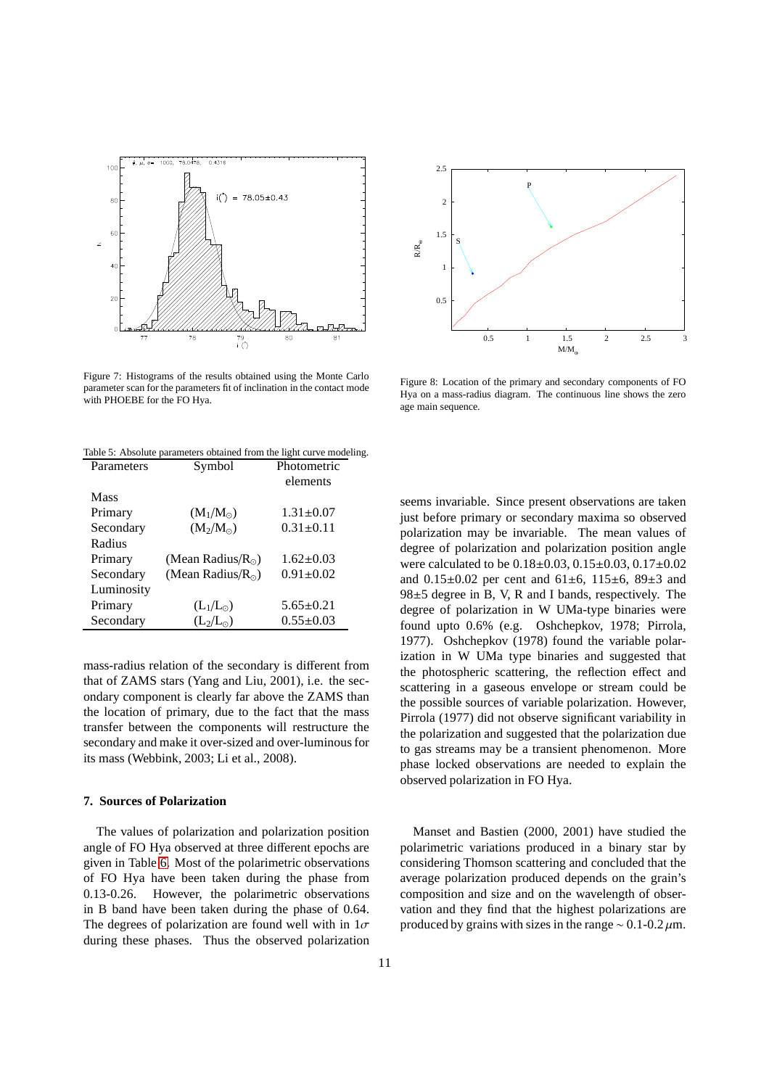

Figure 7: Histograms of the results obtained using the Monte Carlo parameter scan for the parameters fit of inclination in the contact mode with PHOEBE for the FO Hya.



Figure 8: Location of the primary and secondary components of FO Hya on a mass-radius diagram. The continuous line shows the zero age main sequence.

<span id="page-10-0"></span>

| Parameters | Symbol                      | Photometric     |  |
|------------|-----------------------------|-----------------|--|
|            |                             | elements        |  |
| Mass       |                             |                 |  |
| Primary    | $(M_1/M_{\odot})$           | $1.31 \pm 0.07$ |  |
| Secondary  | $(M_2/M_{\odot})$           | $0.31 \pm 0.11$ |  |
| Radius     |                             |                 |  |
| Primary    | (Mean Radius/ $R_{\odot}$ ) | $1.62 \pm 0.03$ |  |
| Secondary  | (Mean Radius/ $R_{\odot}$ ) | $0.91 \pm 0.02$ |  |
| Luminosity |                             |                 |  |
| Primary    | $(L_1/L_{\odot})$           | $5.65 \pm 0.21$ |  |
| Secondary  | $(L_2/L_{\odot})$           | $0.55 \pm 0.03$ |  |

Table 5: Absolute parameters obtained from the light curve modeling.

mass-radius relation of the secondary is different from that of ZAMS stars (Yang and Liu, 2001), i.e. the secondary component is clearly far above the ZAMS than the location of primary, due to the fact that the mass transfer between the components will restructure the secondary and make it over-sized and over-luminous for its mass (Webbink, 2003; Li et al., 2008).

# **7. Sources of Polarization**

The values of polarization and polarization position angle of FO Hya observed at three different epochs are given in Table [6.](#page-11-0) Most of the polarimetric observations of FO Hya have been taken during the phase from 0.13-0.26. However, the polarimetric observations in B band have been taken during the phase of 0.64. The degrees of polarization are found well with in  $1\sigma$ during these phases. Thus the observed polarization seems invariable. Since present observations are taken just before primary or secondary maxima so observed polarization may be invariable. The mean values of degree of polarization and polarization position angle were calculated to be 0.18±0.03, 0.15±0.03, 0.17±0.02 and  $0.15\pm0.02$  per cent and  $61\pm6$ ,  $115\pm6$ ,  $89\pm3$  and 98±5 degree in B, V, R and I bands, respectively. The degree of polarization in W UMa-type binaries were found upto 0.6% (e.g. Oshchepkov, 1978; Pirrola, 1977). Oshchepkov (1978) found the variable polarization in W UMa type binaries and suggested that the photospheric scattering, the reflection effect and scattering in a gaseous envelope or stream could be the possible sources of variable polarization. However, Pirrola (1977) did not observe significant variability in the polarization and suggested that the polarization due to gas streams may be a transient phenomenon. More phase locked observations are needed to explain the observed polarization in FO Hya.

Manset and Bastien (2000, 2001) have studied the polarimetric variations produced in a binary star by considering Thomson scattering and concluded that the average polarization produced depends on the grain's composition and size and on the wavelength of observation and they find that the highest polarizations are produced by grains with sizes in the range  $\sim 0.1$ -0.2  $\mu$ m.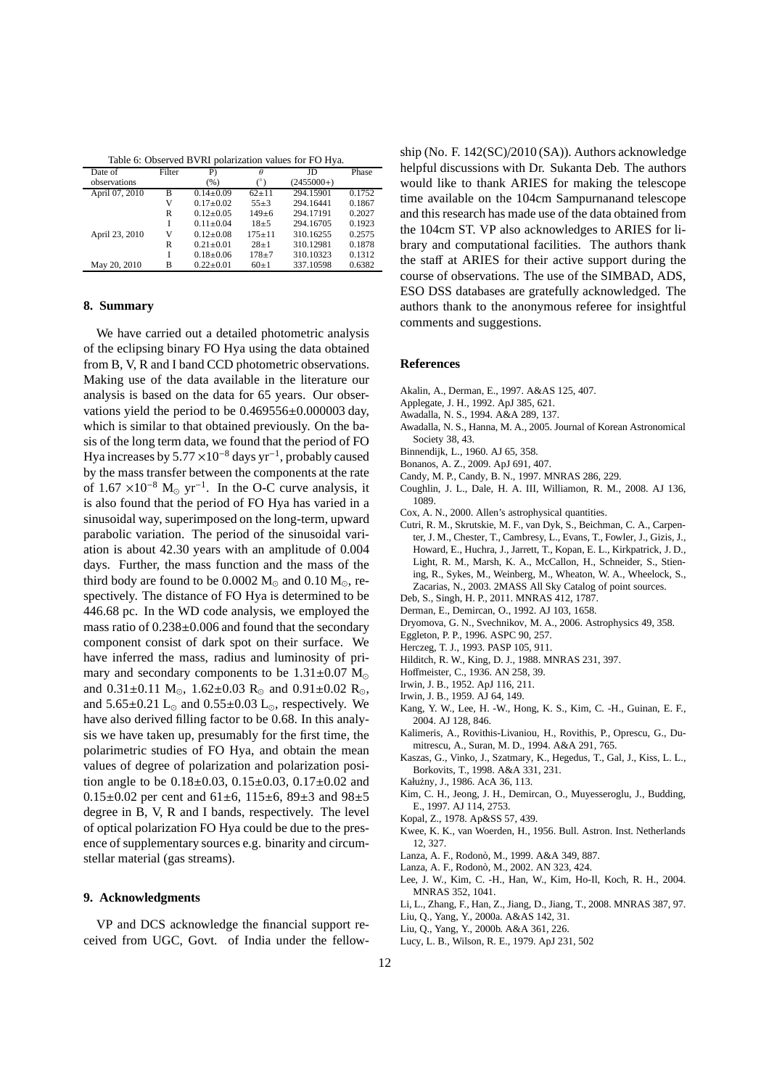<span id="page-11-0"></span>

| Table 6: Observed BVRI polarization values for FO Hya. |        |                 |            |              |        |  |
|--------------------------------------------------------|--------|-----------------|------------|--------------|--------|--|
| Date of                                                | Filter | P)              | θ          | JD           | Phase  |  |
| observations                                           |        | (% )            | (°)        | $(2455000+)$ |        |  |
| April 07, 2010                                         | B      | $0.14 \pm 0.09$ | $62 + 11$  | 294.15901    | 0.1752 |  |
|                                                        | V      | $0.17 \pm 0.02$ | $55 \pm 3$ | 294.16441    | 0.1867 |  |
|                                                        | R      | $0.12 + 0.05$   | $149 + 6$  | 294.17191    | 0.2027 |  |
|                                                        |        | $0.11 + 0.04$   | $18 + 5$   | 294.16705    | 0.1923 |  |
| April 23, 2010                                         | v      | $0.12 + 0.08$   | $175 + 11$ | 310.16255    | 0.2575 |  |
|                                                        | R      | $0.21 + 0.01$   | $28 \pm 1$ | 310.12981    | 0.1878 |  |
|                                                        |        | $0.18 \pm 0.06$ | $178 + 7$  | 310.10323    | 0.1312 |  |
| May 20, 2010                                           | в      | $0.22 \pm 0.01$ | $60 \pm 1$ | 337.10598    | 0.6382 |  |

# **8. Summary**

We have carried out a detailed photometric analysis of the eclipsing binary FO Hya using the data obtained from B, V, R and I band CCD photometric observations. Making use of the data available in the literature our analysis is based on the data for 65 years. Our observations yield the period to be  $0.469556\pm0.000003$  day, which is similar to that obtained previously. On the basis of the long term data, we found that the period of FO Hya increases by  $5.77 \times 10^{-8}$  days yr<sup>-1</sup>, probably caused by the mass transfer between the components at the rate of  $1.67 \times 10^{-8}$  M<sub>☉</sub> yr<sup>-1</sup>. In the O-C curve analysis, it is also found that the period of FO Hya has varied in a sinusoidal way, superimposed on the long-term, upward parabolic variation. The period of the sinusoidal variation is about 42.30 years with an amplitude of 0.004 days. Further, the mass function and the mass of the third body are found to be 0.0002  $M_{\odot}$  and 0.10  $M_{\odot}$ , respectively. The distance of FO Hya is determined to be 446.68 pc. In the WD code analysis, we employed the mass ratio of 0.238±0.006 and found that the secondary component consist of dark spot on their surface. We have inferred the mass, radius and luminosity of primary and secondary components to be  $1.31\pm0.07$  M<sub>☉</sub> and  $0.31\pm0.11$  M<sub>☉</sub>,  $1.62\pm0.03$  R<sub>☉</sub> and  $0.91\pm0.02$  R<sub>☉</sub>, and  $5.65\pm0.21$  L<sub>☉</sub> and  $0.55\pm0.03$  L<sub>☉</sub>, respectively. We have also derived filling factor to be 0.68. In this analysis we have taken up, presumably for the first time, the polarimetric studies of FO Hya, and obtain the mean values of degree of polarization and polarization position angle to be 0.18±0.03, 0.15±0.03, 0.17±0.02 and 0.15 $\pm$ 0.02 per cent and 61 $\pm$ 6, 115 $\pm$ 6, 89 $\pm$ 3 and 98 $\pm$ 5 degree in B, V, R and I bands, respectively. The level of optical polarization FO Hya could be due to the presence of supplementary sources e.g. binarity and circumstellar material (gas streams).

# **9. Acknowledgments**

VP and DCS acknowledge the financial support received from UGC, Govt. of India under the fellowship (No. F. 142(SC)/2010 (SA)). Authors acknowledge helpful discussions with Dr. Sukanta Deb. The authors would like to thank ARIES for making the telescope time available on the 104cm Sampurnanand telescope and this research has made use of the data obtained from the 104cm ST. VP also acknowledges to ARIES for library and computational facilities. The authors thank the staff at ARIES for their active support during the course of observations. The use of the SIMBAD, ADS, ESO DSS databases are gratefully acknowledged. The authors thank to the anonymous referee for insightful comments and suggestions.

#### **References**

- Akalin, A., Derman, E., 1997. A&AS 125, 407.
- Applegate, J. H., 1992. ApJ 385, 621.
- Awadalla, N. S., 1994. A&A 289, 137.
- Awadalla, N. S., Hanna, M. A., 2005. Journal of Korean Astronomical Society 38, 43.
- Binnendijk, L., 1960. AJ 65, 358.
- Bonanos, A. Z., 2009. ApJ 691, 407.
- Candy, M. P., Candy, B. N., 1997. MNRAS 286, 229.
- Coughlin, J. L., Dale, H. A. III, Williamon, R. M., 2008. AJ 136, 1089.
- Cox, A. N., 2000. Allen's astrophysical quantities.
- Cutri, R. M., Skrutskie, M. F., van Dyk, S., Beichman, C. A., Carpenter, J. M., Chester, T., Cambresy, L., Evans, T., Fowler, J., Gizis, J., Howard, E., Huchra, J., Jarrett, T., Kopan, E. L., Kirkpatrick, J. D., Light, R. M., Marsh, K. A., McCallon, H., Schneider, S., Stiening, R., Sykes, M., Weinberg, M., Wheaton, W. A., Wheelock, S., Zacarias, N., 2003. 2MASS All Sky Catalog of point sources.
- Deb, S., Singh, H. P., 2011. MNRAS 412, 1787.
- Derman, E., Demircan, O., 1992. AJ 103, 1658.
- Dryomova, G. N., Svechnikov, M. A., 2006. Astrophysics 49, 358.
- Eggleton, P. P., 1996. ASPC 90, 257.
- Herczeg, T. J., 1993. PASP 105, 911.
- Hilditch, R. W., King, D. J., 1988. MNRAS 231, 397.
- Hoffmeister, C., 1936. AN 258, 39.
- Irwin, J. B., 1952. ApJ 116, 211.
- Irwin, J. B., 1959. AJ 64, 149.
- Kang, Y. W., Lee, H. -W., Hong, K. S., Kim, C. -H., Guinan, E. F., 2004. AJ 128, 846.
- Kalimeris, A., Rovithis-Livaniou, H., Rovithis, P., Oprescu, G., Dumitrescu, A., Suran, M. D., 1994. A&A 291, 765.
- Kaszas, G., Vinko, J., Szatmary, K., Hegedus, T., Gal, J., Kiss, L. L., Borkovits, T., 1998. A&A 331, 231.
- Kałużny, J., 1986. AcA 36, 113.
- Kim, C. H., Jeong, J. H., Demircan, O., Muyesseroglu, J., Budding, E., 1997. AJ 114, 2753.
- Kopal, Z., 1978. Ap&SS 57, 439.
- Kwee, K. K., van Woerden, H., 1956. Bull. Astron. Inst. Netherlands 12, 327.
- Lanza, A. F., Rodon`o, M., 1999. A&A 349, 887.
- Lanza, A. F., Rodon`o, M., 2002. AN 323, 424.
- Lee, J. W., Kim, C. -H., Han, W., Kim, Ho-Il, Koch, R. H., 2004. MNRAS 352, 1041.
- Li, L., Zhang, F., Han, Z., Jiang, D., Jiang, T., 2008. MNRAS 387, 97.
- Liu, Q., Yang, Y., 2000a. A&AS 142, 31. Liu, Q., Yang, Y., 2000b. A&A 361, 226.
- Lucy, L. B., Wilson, R. E., 1979. ApJ 231, 502